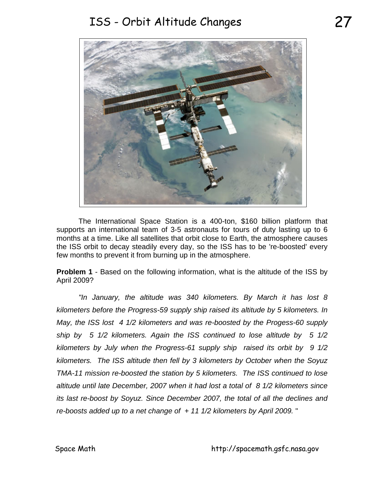## ISS - Orbit Altitude Changes 27



 The International Space Station is a 400-ton, \$160 billion platform that supports an international team of 3-5 astronauts for tours of duty lasting up to 6 months at a time. Like all satellites that orbit close to Earth, the atmosphere causes the ISS orbit to decay steadily every day, so the ISS has to be 're-boosted' every few months to prevent it from burning up in the atmosphere.

**Problem 1** - Based on the following information, what is the altitude of the ISS by April 2009?

*"In January, the altitude was 340 kilometers. By March it has lost 8 kilometers before the Progress-59 supply ship raised its altitude by 5 kilometers. In May, the ISS lost 4 1/2 kilometers and was re-boosted by the Progess-60 supply ship by 5 1/2 kilometers. Again the ISS continued to lose altitude by 5 1/2 kilometers by July when the Progress-61 supply ship raised its orbit by 9 1/2 kilometers. The ISS altitude then fell by 3 kilometers by October when the Soyuz TMA-11 mission re-boosted the station by 5 kilometers. The ISS continued to lose altitude until late December, 2007 when it had lost a total of 8 1/2 kilometers since its last re-boost by Soyuz. Since December 2007, the total of all the declines and re-boosts added up to a net change of + 11 1/2 kilometers by April 2009.* "